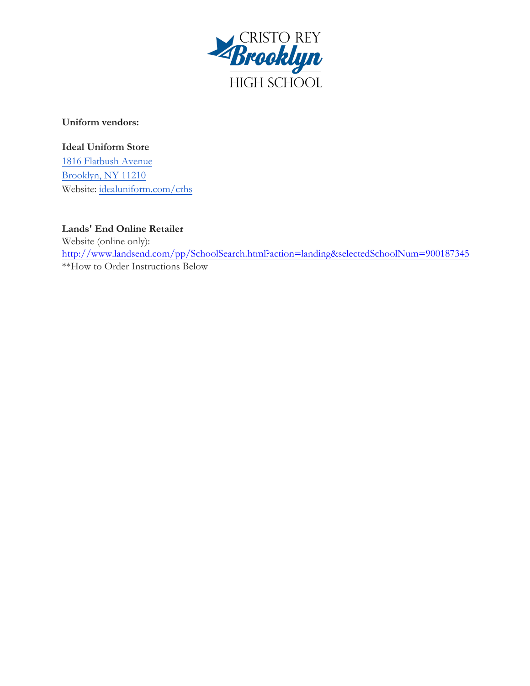

**Uniform vendors:** 

**Ideal Uniform Store** 

[1816 Flatbush Avenue](https://maps.google.com/?q=1816+Flatbush+Avenue+Brooklyn,+NY+11210&entry=gmail&source=g) Brookly[n, NY 11210](http://idealuniform.com/crhs) [W](http://idealuniform.com/crhs)ebsite: idealuniform.com/crhs

**Lands' End Online Retailer**  [Website \(online only\):](http://www.landsend.com/pp/SchoolSearch.html?action=landing&selectedSchoolNum=900187345)  http://www.landsend.com/pp/SchoolSearch.html?action=landing&selectedSchoolNum=900187345 \*\*How to Order Instructions Below